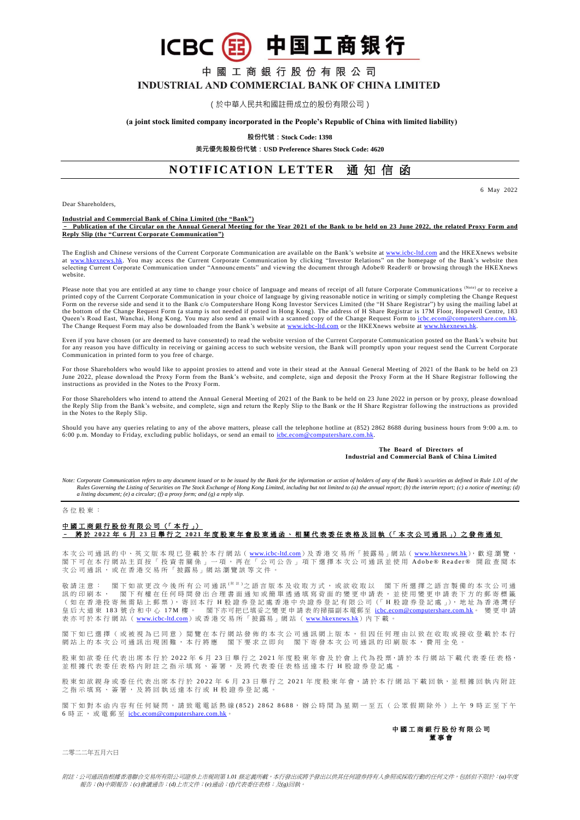3 中国工商银行 **ICBC** 

# 中國工商銀行股份有限公司 **INDUSTRIAL AND COMMERCIAL BANK OF CHINA LIMITED**

(於中華人民共和國註冊成立的股份有限公司)

#### **(a joint stock limited company incorporated in the People's Republic of China with limited liability)**

**股份代號:Stock Code: 1398**

**美元優先股股份代號:USD Preference Shares Stock Code: 4620**

## **NOTIFICATION LETTER 通知信函**

6 May 2022

Dear Shareholders,

#### **Industrial and Commercial Bank of China Limited (the "Bank")**

– **Publication of the Circular on the Annual General Meeting for the Year 2021 of the Bank to be held on 23 June 2022, the related Proxy Form and Reply Slip (the "Current Corporate Communication")**

The English and Chinese versions of the Current Corporate Communication are available on the Bank's website at <u>www.icbc-ltd.com</u> and the HKEXnews website<br>at <u>www.hkexnews.hk</u>. You may access the Current Corporate Communic selecting Current Corporate Communication under "Announcements" and viewing the document through Adobe® Reader® or browsing through the HKEXnews website.

Please note that you are entitled at any time to change your choice of language and means of receipt of all future Corporate Communications (Note) or to receive a printed copy of the Current Corporate Communication in your choice of language by giving reasonable notice in writing or simply completing the Change Request<br>Form on the reverse side and send it to the Bank c/o Computersha the bottom of the Change Request Form (a stamp is not needed if posted in Hong Kong). The address of H Share Registrar is 17M Floor, Hopewell Centre, 183 Queen's Road East, Wanchai, Hong Kong. You may also send an email with a scanned copy of the Change Request Form to <u>icbc.ecom@computershare.com.hk.</u><br>The Change Request Form may also be downloaded from the Bank's website a

Even if you have chosen (or are deemed to have consented) to read the website version of the Current Corporate Communication posted on the Bank's website but for any reason you have difficulty in receiving or gaining access to such website version, the Bank will promptly upon your request send the Current Corporate of the Current Corporate Communication in printed form to you free of charge.

For those Shareholders who would like to appoint proxies to attend and vote in their stead at the Annual General Meeting of 2021 of the Bank to be held on 23 June 2022, please download the Proxy Form from the Bank's website, and complete, sign and deposit the Proxy Form at the H Share Registrar following the instructions as provided in the Notes to the Proxy Form.

For those Shareholders who intend to attend the Annual General Meeting of 2021 of the Bank to be held on 23 June 2022 in person or by proxy, please download the Reply Slip from the Bank's website, and complete, sign and return the Reply Slip to the Bank or the H Share Registrar following the instructions as provided in the Notes to the Reply Slip.

Should you have any queries relating to any of the above matters, please call the telephone hotline at (852) 2862 8688 during business hours from 9:00 a.m. to 6:00 p.m. Monday to Friday, excluding public holidays, or send an email to [icbc.ecom@computershare.com.hk.](mailto:icbc.ecom@computershare.com.hk)

#### **The Board of Directors of Industrial and Commercial Bank of China Limited**

Note: Corporate Communication refers to any document issued or to be issued by the Bank for the information or action of holders of any of the Bank's securities as defined in Rule 1.01 of the<br>Rules Governing the Listing of *a listing document; (e) a circular; (f) a proxy form; and (g) a reply slip.*

#### 各位股 東 :

### 中國工商銀行股份有限公司(「本行」) – 將 於 **202 2** 年 **6** 月 **2 3** 日舉行之 **2 0 2 1** 年度股東年會股東通函、相關代表委任表格及回執 (「 本 次 公 司 通 訊 」) 之 發 佈 通 知

本 次 公 司 通 訊 的 中 、 英 文 版 本 現 已 登 載 於 本 行 網 站 ( <u>[www.icbc-ltd.com](http://www.icbc-ltd.com/icbcltd/default.htm)</u> ) 及 香 港 交 易 所 「 披露 易 」網 站 ( <u>[www.hkexnews.hk](http://www.hkexnews.hk/)</u> ),歡 迎 瀏 覽 , 閣 下 可 在 本 行 網 站 主 頁 按 「 投 資 者 關 係 」 一 項 , 再 在 「 公 司 公 告 」 項 下 選 擇 本 次 公 司 通 訊 並 使 用 Adobe® Reader® 開 啟 查 閱 本 次 公 司 通 訊 , 或 在 香 港 交 易 所 「 披露易」 網 站 瀏 覽 該 等 文 件 。

敬請注意: 閣下如欲更改今後所有公司通訊<sup>( 附 註 )</sup>之語言版本及收取方式,或欲收取以 閣下所選擇之語言製備的本次公司通 訊 的 印 刷 本 , 閣 下 有 權 在 任 何 時 間 發 出 合 理 書 面 通 知 或 簡 單 透 過 填 寫 背 面 的 變 更 申 請 表 , 並 使 用 變 更 申 請 表 下 方 的 郵 寄 標 籤 (如在 香港投寄無需 貼 上 郵 票 ), 寄 回 本 行 H 股 證 券 登 記 處 香 港 中 央 證 券 登 記 有 限 公 司 (「 H 股 證 券 登 記 處 」), 地 址 為 香 港 灣 仔 皇 后 大 道 東 183 號 合 和 中 心 17M 樓 。 閣下亦可把已填妥之變 更 申 請 表 的掃描副本電郵至 [icbc.ecom@computershare.com.hk](mailto:icbc.ecom@computershare.com.hk)。 變 更 申 請 表 亦 可 於 本 行 網 站 ( [www.icbc-ltd.com](http://www.icbc-ltd.com/icbcltd/default.htm)) 或 香 港 交 易 所 「 披露易」網 站 ( [www.hkexnews.hk](http://www.hkexnews.hk/)) 内 下 載

閣 下 如 已 選 擇 ( 或 被 視 為 已 同 意 ) 閲 覽 在 本 行 網 站 發 佈 的 本 次 公 司 通 訊 網 上 版 本 , 但 因 任 何 理 由 以 致 在 收 取 或 接 收 登 載 於 本 行 網站上的本次公司通訊出現困難,本行將應 閣下要求立即向 閣下寄發本次公司通訊的印刷版本,費用全免。

股東如欲委任代表出席本行於 2022年6月 23 日舉行之 2021 年度股東年會及於會上代為投票,請於本行網站下載代表委任表格, 並 根 據 代 表 委 任 表 格 内 附 註 之 指 示 填 寫 、 簽 署 , 及 將 代 表 委 任 表 格 送 達 本 行 H 股 證 券 登 記 處 。

股 東 如 欲 親 身 或 委 任 代 表 出 席 本 行 於 2022 年 6 月 23 日 舉 行 之 2021 年 度 股 東 年 會,請 於 本 行 網 站 下 載 回 執,並 根 據 回 執 内 附 註 之 指 示 填 寫 、 簽 署 , 及 將 回 執 送 達 本 行 或 H 股 證 券 登 記 處 。

閣下如對本函内容有任何疑問,請致電電話熱線(852) 2862 8688,辦公時間為星期一至五(公眾假期除外)上午9時正至下午 6 時 正, 或電郵至 [icbc.ecom@computershare.com.hk](mailto:icbc.ecom@computershare.com.hk)

> 中國工商銀行股份有限公司 董 事 會

二零二二年五月六日

附註:公司通訊指根據香港聯合交易所有限公司證券上市規則第 *1.01* 條定義所載,本行發出或將予發出以供其任何證券持有人參照或採取行動的任何文件,包括但不限於:*(a)*年度 報告;*(b)*中期報告;*(c)*會議通告;*(d)*上市文件;*(e)*通函;*(f)*代表委任表格;及*(g)*回執。